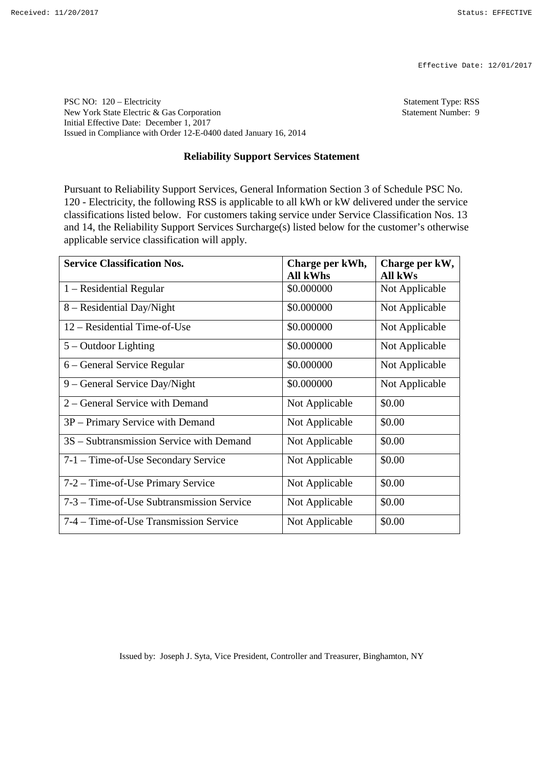Effective Date: 12/01/2017

PSC NO: 120 – Electricity Statement Type: RSS New York State Electric & Gas Corporation Statement Number: 9 Initial Effective Date: December 1, 2017 Issued in Compliance with Order 12-E-0400 dated January 16, 2014

## **Reliability Support Services Statement**

Pursuant to Reliability Support Services, General Information Section 3 of Schedule PSC No. 120 - Electricity, the following RSS is applicable to all kWh or kW delivered under the service classifications listed below. For customers taking service under Service Classification Nos. 13 and 14, the Reliability Support Services Surcharge(s) listed below for the customer's otherwise applicable service classification will apply.

| <b>Service Classification Nos.</b>        | Charge per kWh, | Charge per kW, |
|-------------------------------------------|-----------------|----------------|
|                                           | <b>All kWhs</b> | All kWs        |
| $1 - Residental Regular$                  | \$0.000000      | Not Applicable |
| 8 – Residential Day/Night                 | \$0.000000      | Not Applicable |
| 12 – Residential Time-of-Use              | \$0.000000      | Not Applicable |
| $5 -$ Outdoor Lighting                    | \$0.000000      | Not Applicable |
| 6 – General Service Regular               | \$0.000000      | Not Applicable |
| 9 – General Service Day/Night             | \$0.000000      | Not Applicable |
| 2 – General Service with Demand           | Not Applicable  | \$0.00         |
| 3P – Primary Service with Demand          | Not Applicable  | \$0.00         |
| 3S – Subtransmission Service with Demand  | Not Applicable  | \$0.00         |
| 7-1 – Time-of-Use Secondary Service       | Not Applicable  | \$0.00         |
| 7-2 – Time-of-Use Primary Service         | Not Applicable  | \$0.00         |
| 7-3 – Time-of-Use Subtransmission Service | Not Applicable  | \$0.00         |
| 7-4 – Time-of-Use Transmission Service    | Not Applicable  | \$0.00         |

Issued by: Joseph J. Syta, Vice President, Controller and Treasurer, Binghamton, NY